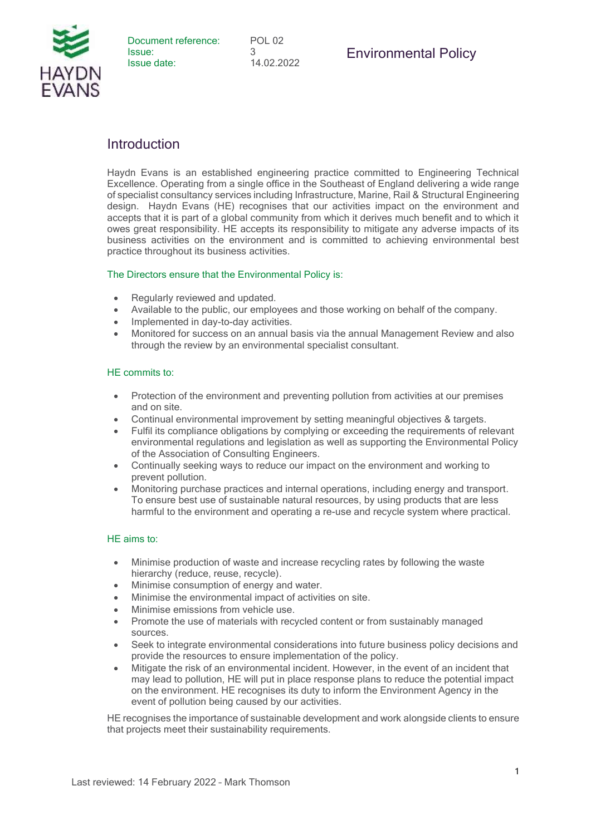

## **Introduction**

Haydn Evans is an established engineering practice committed to Engineering Technical Excellence. Operating from a single office in the Southeast of England delivering a wide range of specialist consultancy services including Infrastructure, Marine, Rail & Structural Engineering design. Haydn Evans (HE) recognises that our activities impact on the environment and accepts that it is part of a global community from which it derives much benefit and to which it owes great responsibility. HE accepts its responsibility to mitigate any adverse impacts of its business activities on the environment and is committed to achieving environmental best practice throughout its business activities.

## The Directors ensure that the Environmental Policy is:

- Regularly reviewed and updated.
- Available to the public, our employees and those working on behalf of the company.
- Implemented in day-to-day activities.
- Monitored for success on an annual basis via the annual Management Review and also through the review by an environmental specialist consultant.

## HE commits to:

- Protection of the environment and preventing pollution from activities at our premises and on site.
- Continual environmental improvement by setting meaningful objectives & targets.
- Fulfil its compliance obligations by complying or exceeding the requirements of relevant environmental regulations and legislation as well as supporting the Environmental Policy of the Association of Consulting Engineers.
- Continually seeking ways to reduce our impact on the environment and working to prevent pollution.
- Monitoring purchase practices and internal operations, including energy and transport. To ensure best use of sustainable natural resources, by using products that are less harmful to the environment and operating a re-use and recycle system where practical.

## HE aims to:

- Minimise production of waste and increase recycling rates by following the waste hierarchy (reduce, reuse, recycle).
- Minimise consumption of energy and water.
- Minimise the environmental impact of activities on site.
- Minimise emissions from vehicle use.
- Promote the use of materials with recycled content or from sustainably managed sources.
- Seek to integrate environmental considerations into future business policy decisions and provide the resources to ensure implementation of the policy.
- Mitigate the risk of an environmental incident. However, in the event of an incident that may lead to pollution, HE will put in place response plans to reduce the potential impact on the environment. HE recognises its duty to inform the Environment Agency in the event of pollution being caused by our activities.

HE recognises the importance of sustainable development and work alongside clients to ensure that projects meet their sustainability requirements.